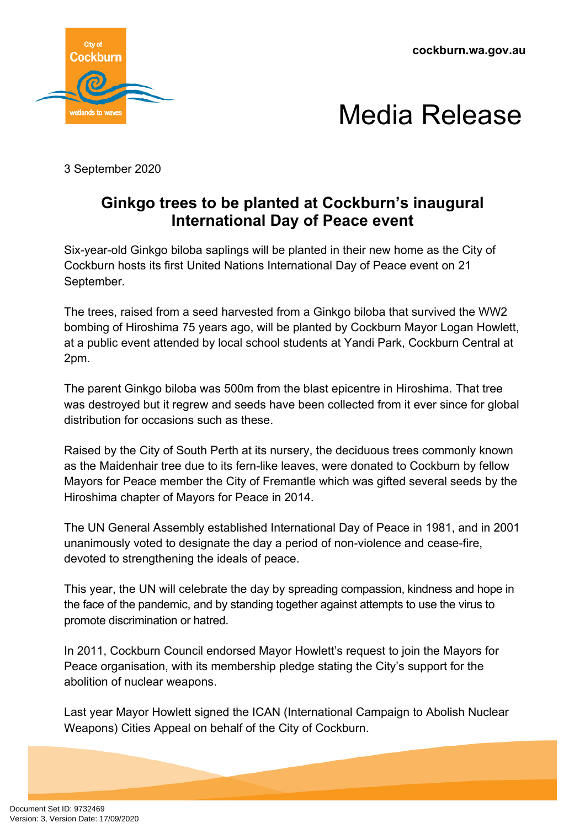



3 September 2020

## **Ginkgo trees to be planted at Cockburn's inaugural International Day of Peace event**

Six-year-old Ginkgo biloba saplings will be planted in their new home as the City of Cockburn hosts its first United Nations International Day of Peace event on 21 September.

The trees, raised from a seed harvested from a Ginkgo biloba that survived the WW2 bombing of Hiroshima 75 years ago, will be planted by Cockburn Mayor Logan Howlett, at a public event attended by local school students at Yandi Park, Cockburn Central at 2pm.

The parent Ginkgo biloba was 500m from the blast epicentre in Hiroshima. That tree was destroyed but it regrew and seeds have been collected from it ever since for global distribution for occasions such as these.

Raised by the City of South Perth at its nursery, the deciduous trees commonly known as the Maidenhair tree due to its fern-like leaves, were donated to Cockburn by fellow Mayors for Peace member the City of Fremantle which was gifted several seeds by the Hiroshima chapter of Mayors for Peace in 2014.

The UN General Assembly established International Day of Peace in 1981, and in 2001 unanimously voted to designate the day a period of non-violence and cease-fire, devoted to strengthening the ideals of peace.

This year, the UN will celebrate the day by spreading compassion, kindness and hope in the face of the pandemic, and by standing together against attempts to use the virus to promote discrimination or hatred.

In 2011, Cockburn Council endorsed Mayor Howlett's request to join the Mayors for Peace organisation, with its membership pledge stating the City's support for the abolition of nuclear weapons.

Last year Mayor Howlett signed the ICAN (International Campaign to Abolish Nuclear Weapons) Cities Appeal on behalf of the City of Cockburn.

Document Set ID: 9732469<br>Version: 3, Version Date: 17/09/2020